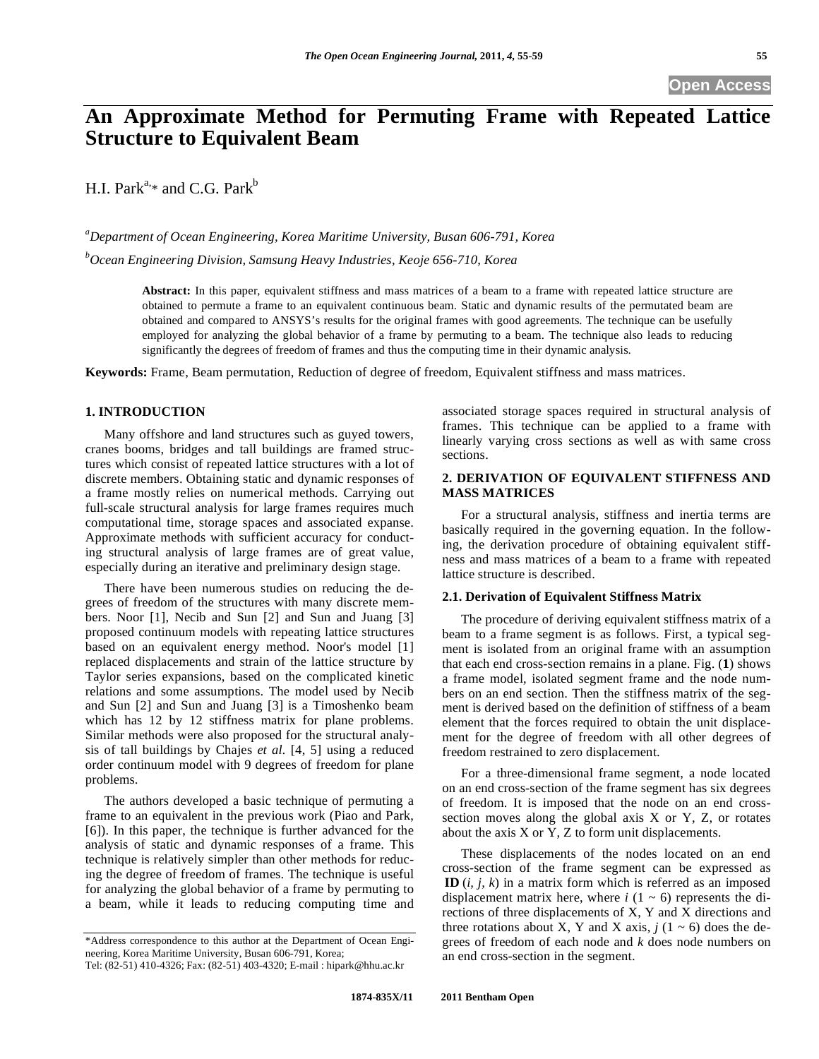# **An Approximate Method for Permuting Frame with Repeated Lattice Structure to Equivalent Beam**

H.I. Park<sup>a,\*</sup> and C.G. Park<sup>b</sup>

*a Department of Ocean Engineering, Korea Maritime University, Busan 606-791, Korea b Ocean Engineering Division, Samsung Heavy Industries, Keoje 656-710, Korea* 

> **Abstract:** In this paper, equivalent stiffness and mass matrices of a beam to a frame with repeated lattice structure are obtained to permute a frame to an equivalent continuous beam. Static and dynamic results of the permutated beam are obtained and compared to ANSYS's results for the original frames with good agreements. The technique can be usefully employed for analyzing the global behavior of a frame by permuting to a beam. The technique also leads to reducing significantly the degrees of freedom of frames and thus the computing time in their dynamic analysis.

**Keywords:** Frame, Beam permutation, Reduction of degree of freedom, Equivalent stiffness and mass matrices.

# **1. INTRODUCTION**

Many offshore and land structures such as guyed towers, cranes booms, bridges and tall buildings are framed structures which consist of repeated lattice structures with a lot of discrete members. Obtaining static and dynamic responses of a frame mostly relies on numerical methods. Carrying out full-scale structural analysis for large frames requires much computational time, storage spaces and associated expanse. Approximate methods with sufficient accuracy for conducting structural analysis of large frames are of great value, especially during an iterative and preliminary design stage.

There have been numerous studies on reducing the degrees of freedom of the structures with many discrete members. Noor [1], Necib and Sun [2] and Sun and Juang [3] proposed continuum models with repeating lattice structures based on an equivalent energy method. Noor's model [1] replaced displacements and strain of the lattice structure by Taylor series expansions, based on the complicated kinetic relations and some assumptions. The model used by Necib and Sun [2] and Sun and Juang [3] is a Timoshenko beam which has 12 by 12 stiffness matrix for plane problems. Similar methods were also proposed for the structural analysis of tall buildings by Chajes *et al.* [4, 5] using a reduced order continuum model with 9 degrees of freedom for plane problems.

The authors developed a basic technique of permuting a frame to an equivalent in the previous work (Piao and Park, [6]). In this paper, the technique is further advanced for the analysis of static and dynamic responses of a frame. This technique is relatively simpler than other methods for reducing the degree of freedom of frames. The technique is useful for analyzing the global behavior of a frame by permuting to a beam, while it leads to reducing computing time and

associated storage spaces required in structural analysis of frames. This technique can be applied to a frame with linearly varying cross sections as well as with same cross sections.

# **2. DERIVATION OF EQUIVALENT STIFFNESS AND MASS MATRICES**

For a structural analysis, stiffness and inertia terms are basically required in the governing equation. In the following, the derivation procedure of obtaining equivalent stiffness and mass matrices of a beam to a frame with repeated lattice structure is described.

## **2.1. Derivation of Equivalent Stiffness Matrix**

The procedure of deriving equivalent stiffness matrix of a beam to a frame segment is as follows. First, a typical segment is isolated from an original frame with an assumption that each end cross-section remains in a plane. Fig. (**1**) shows a frame model, isolated segment frame and the node numbers on an end section. Then the stiffness matrix of the segment is derived based on the definition of stiffness of a beam element that the forces required to obtain the unit displacement for the degree of freedom with all other degrees of freedom restrained to zero displacement.

For a three-dimensional frame segment, a node located on an end cross-section of the frame segment has six degrees of freedom. It is imposed that the node on an end crosssection moves along the global axis  $X$  or  $Y$ ,  $Z$ , or rotates about the axis X or Y, Z to form unit displacements.

These displacements of the nodes located on an end cross-section of the frame segment can be expressed as **ID** (*i, j, k*) in a matrix form which is referred as an imposed displacement matrix here, where  $i$  (1  $\sim$  6) represents the directions of three displacements of X, Y and X directions and three rotations about X, Y and X axis,  $j(1 \sim 6)$  does the degrees of freedom of each node and *k* does node numbers on an end cross-section in the segment.

<sup>\*</sup>Address correspondence to this author at the Department of Ocean Engineering, Korea Maritime University, Busan 606-791, Korea; Tel: (82-51) 410-4326; Fax: (82-51) 403-4320; E-mail : hipark@hhu.ac.kr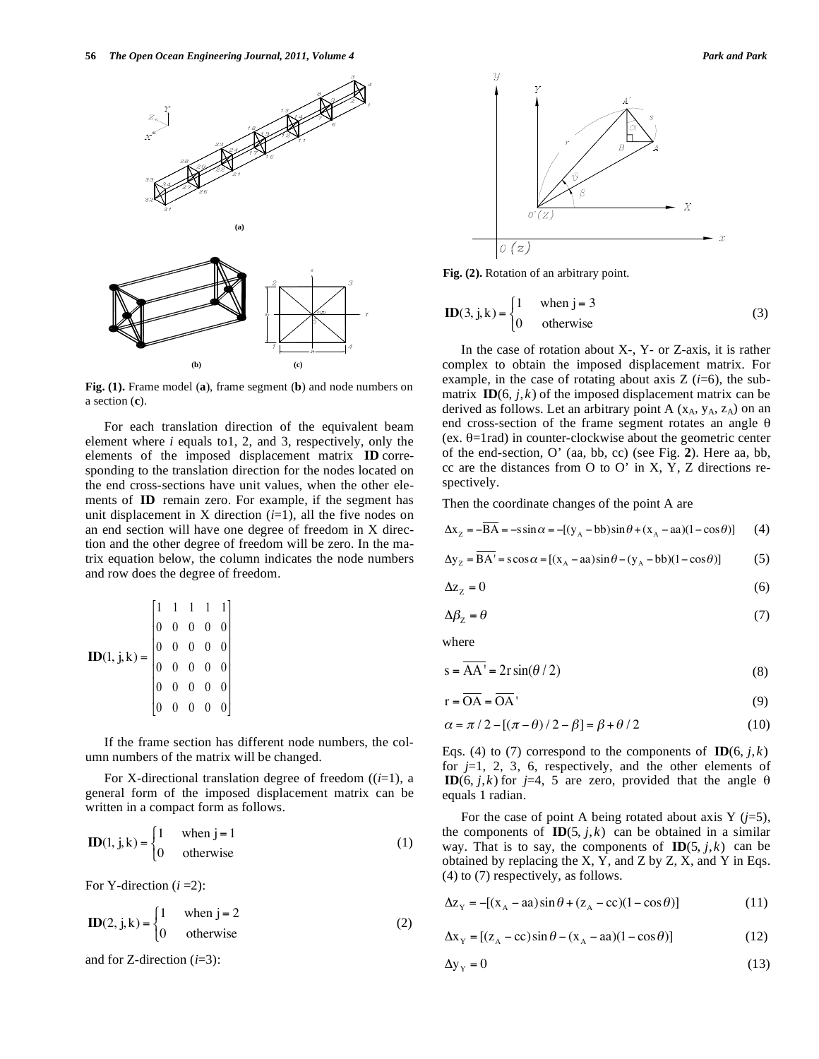

**Fig. (1).** Frame model (**a**), frame segment (**b**) and node numbers on a section (**c**).

For each translation direction of the equivalent beam element where *i* equals to1, 2, and 3, respectively, only the elements of the imposed displacement matrix **ID** corresponding to the translation direction for the nodes located on the end cross-sections have unit values, when the other elements of **ID** remain zero. For example, if the segment has unit displacement in X direction  $(i=1)$ , all the five nodes on an end section will have one degree of freedom in X direction and the other degree of freedom will be zero. In the matrix equation below, the column indicates the node numbers and row does the degree of freedom.

$$
\mathbf{ID}(1, j, k) = \begin{bmatrix} 1 & 1 & 1 & 1 & 1 \\ 0 & 0 & 0 & 0 & 0 \\ 0 & 0 & 0 & 0 & 0 \\ 0 & 0 & 0 & 0 & 0 \\ 0 & 0 & 0 & 0 & 0 \\ 0 & 0 & 0 & 0 & 0 \end{bmatrix}
$$

If the frame section has different node numbers, the column numbers of the matrix will be changed.

For X-directional translation degree of freedom ((*i*=1), a general form of the imposed displacement matrix can be written in a compact form as follows.

$$
\mathbf{ID}(1, j, k) = \begin{cases} 1 & \text{when } j = 1 \\ 0 & \text{otherwise} \end{cases}
$$
 (1)

For Y-direction (*i* =2):

$$
\mathbf{ID}(2, j, k) = \begin{cases} 1 & \text{when } j = 2 \\ 0 & \text{otherwise} \end{cases}
$$
 (2)

and for Z-direction (*i*=3):



Fig. (2). Rotation of an arbitrary point.

$$
\mathbf{ID}(3, j, k) = \begin{cases} 1 & \text{when } j = 3 \\ 0 & \text{otherwise} \end{cases}
$$
 (3)

In the case of rotation about  $X-$ ,  $Y-$  or  $Z$ -axis, it is rather complex to obtain the imposed displacement matrix. For example, in the case of rotating about axis  $Z(i=6)$ , the submatrix  $\mathbf{ID}(6, j, k)$  of the imposed displacement matrix can be derived as follows. Let an arbitrary point A  $(x_A, y_A, z_A)$  on an end cross-section of the frame segment rotates an angle  $\theta$ (ex.  $\theta$ =1rad) in counter-clockwise about the geometric center of the end-section, O' (aa, bb, cc) (see Fig. **2**). Here aa, bb, cc are the distances from O to O' in X, Y, Z directions respectively.

Then the coordinate changes of the point A are

 $\Delta x_z = -BA = -s \sin \alpha = -[(y_A - bb)\sin \theta + (x_A - aa)(1 - cos \theta)]$  (4)

$$
\Delta y_z = \overline{BA'} = s\cos\alpha = [(x_A - aa)\sin\theta - (y_A - bb)(1 - \cos\theta)]
$$
 (5)

$$
\Delta z_z = 0 \tag{6}
$$

$$
\Delta \beta_{z} = \theta \tag{7}
$$

where

$$
s = \overline{AA'} = 2r\sin(\theta/2)
$$
 (8)

$$
r = \overline{OA} = \overline{OA}
$$
\n<sup>(9)</sup>

$$
\alpha = \pi / 2 - [(\pi - \theta) / 2 - \beta] = \beta + \theta / 2 \tag{10}
$$

Eqs. (4) to (7) correspond to the components of  $\mathbf{ID}(6, j, k)$ for *j*=1, 2, 3, 6, respectively, and the other elements of **ID**(6, *j*,*k*) for *j*=4, 5 are zero, provided that the angle  $\theta$ equals 1 radian.

For the case of point A being rotated about axis Y  $(j=5)$ , the components of  $\mathbf{ID}(5, j, k)$  can be obtained in a similar way. That is to say, the components of  **can be** obtained by replacing the X, Y, and Z by Z, X, and Y in Eqs. (4) to (7) respectively, as follows.

$$
\Delta z_{\rm Y} = -[(x_{\rm A} - aa)\sin\theta + (z_{\rm A} - cc)(1 - \cos\theta)]\tag{11}
$$

$$
\Delta x_{\rm Y} = [(z_{\rm A} - \text{cc})\sin\theta - (x_{\rm A} - \text{aa})(1 - \cos\theta)] \tag{12}
$$

$$
\Delta y_{Y} = 0 \tag{13}
$$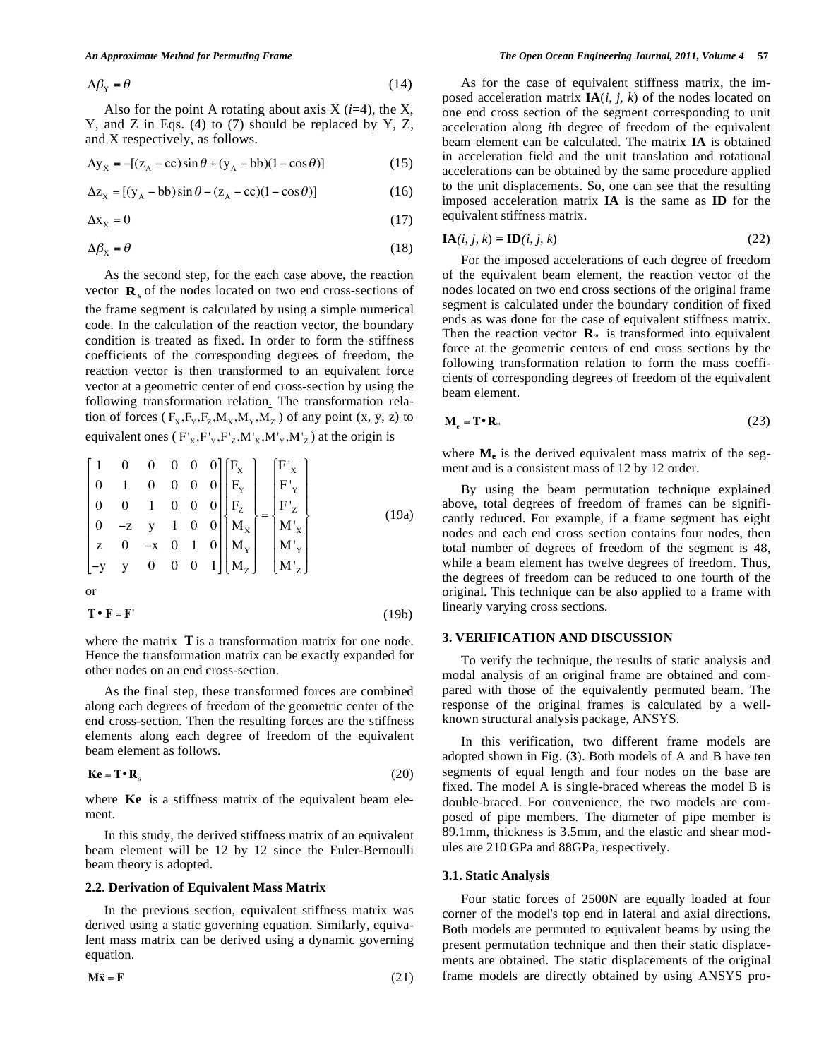$$
\Delta \beta_{\rm Y} = \theta \tag{14}
$$

Also for the point A rotating about axis  $X$  ( $i=4$ ), the X, Y, and Z in Eqs. (4) to (7) should be replaced by Y, Z, and X respectively, as follows.

$$
\Delta y_x = -[(z_A - cc)\sin\theta + (y_A - bb)(1 - cos\theta)]\tag{15}
$$

$$
\Delta z_{\rm X} = \left[ (y_{\rm A} - bb) \sin \theta - (z_{\rm A} - cc) (1 - \cos \theta) \right] \tag{16}
$$

$$
\Delta x_x = 0 \tag{17}
$$

$$
\Delta \beta_{\rm X} = \theta \tag{18}
$$

 As the second step, for the each case above, the reaction vector **R***<sup>s</sup>* of the nodes located on two end cross-sections of the frame segment is calculated by using a simple numerical code. In the calculation of the reaction vector, the boundary condition is treated as fixed. In order to form the stiffness coefficients of the corresponding degrees of freedom, the reaction vector is then transformed to an equivalent force vector at a geometric center of end cross-section by using the following transformation relation. The transformation relation of forces ( $F_X, F_Y, F_Z, M_X, M_Y, M_Z$ ) of any point (x, y, z) to equivalent ones  $(F_x, F_y, F_z, M_x, M_y, M_z)$  at the origin is

$$
\begin{bmatrix} 1 & 0 & 0 & 0 & 0 & 0 \ 0 & 1 & 0 & 0 & 0 & 0 \ 0 & 0 & 1 & 0 & 0 & 0 \ 0 & -z & y & 1 & 0 & 0 \ z & 0 & -x & 0 & 1 & 0 \ -y & y & 0 & 0 & 0 & 1 \ \end{bmatrix} \begin{bmatrix} F_x \\ F_y \\ F_z \\ F_z \\ M_x \\ M_y \\ M_y \\ M_z \end{bmatrix} = \begin{bmatrix} F'_x \\ F'_y \\ F'_z \\ H'_z \\ M'_x \\ M'_y \\ M'_z \\ M'_z \end{bmatrix}
$$
 (19a)  
or

$$
\mathbf{T} \bullet \mathbf{F} = \mathbf{F}' \tag{19b}
$$

where the matrix **T** is a transformation matrix for one node. Hence the transformation matrix can be exactly expanded for other nodes on an end cross-section.

As the final step, these transformed forces are combined along each degrees of freedom of the geometric center of the end cross-section. Then the resulting forces are the stiffness elements along each degree of freedom of the equivalent beam element as follows.

$$
\mathbf{K}\mathbf{e} = \mathbf{T} \cdot \mathbf{R}_s \tag{20}
$$

where **Ke** is a stiffness matrix of the equivalent beam element.

In this study, the derived stiffness matrix of an equivalent beam element will be 12 by 12 since the Euler-Bernoulli beam theory is adopted.

#### **2.2. Derivation of Equivalent Mass Matrix**

In the previous section, equivalent stiffness matrix was derived using a static governing equation. Similarly, equivalent mass matrix can be derived using a dynamic governing equation.

$$
\mathbf{M}\ddot{\mathbf{x}} = \mathbf{F} \tag{21}
$$

#### *An Approximate Method for Permuting Frame The Open Ocean Engineering Journal, 2011, Volume 4* **57**

As for the case of equivalent stiffness matrix, the imposed acceleration matrix **IA**(*i, j, k*) of the nodes located on one end cross section of the segment corresponding to unit acceleration along *i*th degree of freedom of the equivalent beam element can be calculated. The matrix **IA** is obtained in acceleration field and the unit translation and rotational accelerations can be obtained by the same procedure applied to the unit displacements. So, one can see that the resulting imposed acceleration matrix **IA** is the same as **ID** for the equivalent stiffness matrix.

$$
IA(i, j, k) = ID(i, j, k)
$$
 (22)

For the imposed accelerations of each degree of freedom of the equivalent beam element, the reaction vector of the nodes located on two end cross sections of the original frame segment is calculated under the boundary condition of fixed ends as was done for the case of equivalent stiffness matrix. Then the reaction vector  $\mathbf{R}_m$  is transformed into equivalent force at the geometric centers of end cross sections by the following transformation relation to form the mass coefficients of corresponding degrees of freedom of the equivalent beam element.

$$
\mathbf{M}_{\mathrm{e}} = \mathbf{T} \cdot \mathbf{R}_{\mathrm{m}} \tag{23}
$$

where  $M_e$  is the derived equivalent mass matrix of the segment and is a consistent mass of 12 by 12 order.

By using the beam permutation technique explained above, total degrees of freedom of frames can be significantly reduced. For example, if a frame segment has eight nodes and each end cross section contains four nodes, then total number of degrees of freedom of the segment is 48, while a beam element has twelve degrees of freedom. Thus, the degrees of freedom can be reduced to one fourth of the original. This technique can be also applied to a frame with linearly varying cross sections.

#### **3. VERIFICATION AND DISCUSSION**

To verify the technique, the results of static analysis and modal analysis of an original frame are obtained and compared with those of the equivalently permuted beam. The response of the original frames is calculated by a wellknown structural analysis package, ANSYS.

In this verification, two different frame models are adopted shown in Fig. (**3**). Both models of A and B have ten segments of equal length and four nodes on the base are fixed. The model A is single-braced whereas the model B is double-braced. For convenience, the two models are composed of pipe members. The diameter of pipe member is 89.1mm, thickness is 3.5mm, and the elastic and shear modules are 210 GPa and 88GPa, respectively.

#### **3.1. Static Analysis**

Four static forces of 2500N are equally loaded at four corner of the model's top end in lateral and axial directions. Both models are permuted to equivalent beams by using the present permutation technique and then their static displacements are obtained. The static displacements of the original frame models are directly obtained by using ANSYS pro-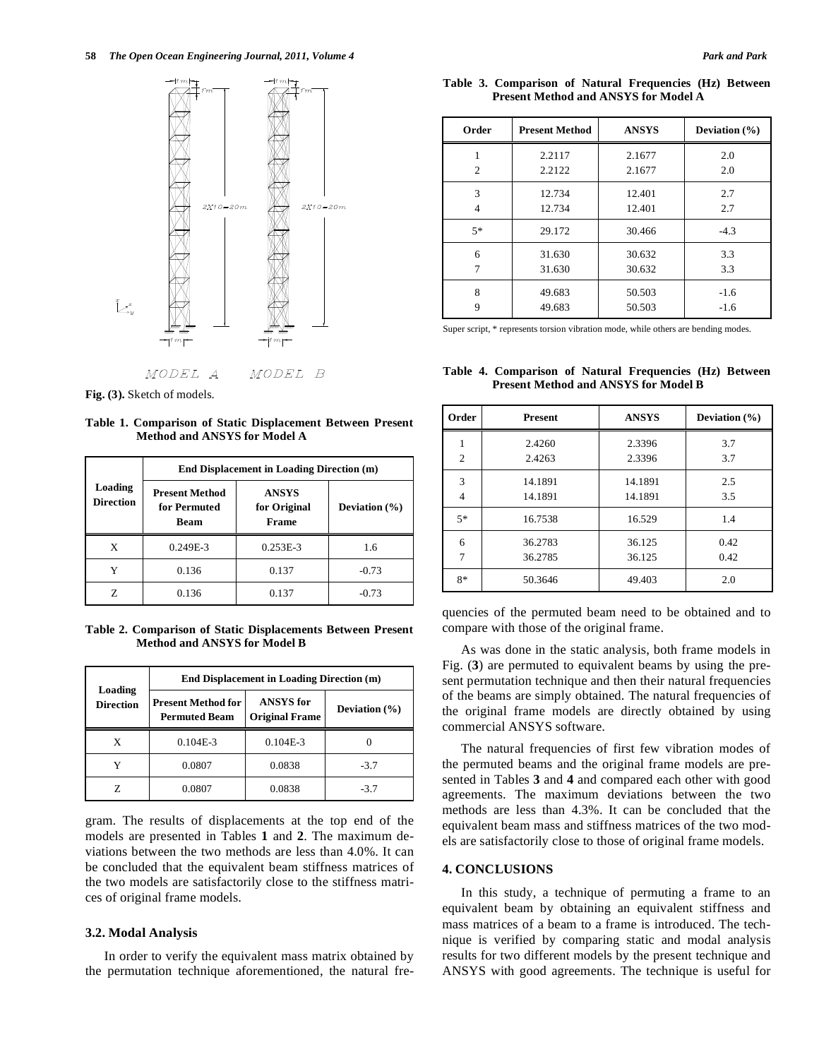

**Fig. (3).** Sketch of models.

**Table 1. Comparison of Static Displacement Between Present Method and ANSYS for Model A**

|                             | <b>End Displacement in Loading Direction (m)</b>     |                                       |                   |  |  |
|-----------------------------|------------------------------------------------------|---------------------------------------|-------------------|--|--|
| Loading<br><b>Direction</b> | <b>Present Method</b><br>for Permuted<br><b>Beam</b> | <b>ANSYS</b><br>for Original<br>Frame | Deviation $(\% )$ |  |  |
| X                           | 0.249E-3                                             | $0.253E-3$                            | 1.6               |  |  |
| Y                           | 0.136                                                | 0.137                                 | $-0.73$           |  |  |
| 7.                          | 0.136                                                | 0.137                                 | $-0.73$           |  |  |

**Table 2. Comparison of Static Displacements Between Present Method and ANSYS for Model B** 

|                             | End Displacement in Loading Direction (m)         |                                           |                   |  |  |  |
|-----------------------------|---------------------------------------------------|-------------------------------------------|-------------------|--|--|--|
| Loading<br><b>Direction</b> | <b>Present Method for</b><br><b>Permuted Beam</b> | <b>ANSYS</b> for<br><b>Original Frame</b> | Deviation $(\% )$ |  |  |  |
| X                           | $0.104E-3$                                        | $0.104E-3$                                |                   |  |  |  |
| Y                           | 0.0807                                            | 0.0838                                    | $-3.7$            |  |  |  |
|                             | 0.0807                                            | 0.0838                                    | $-3.7$            |  |  |  |

gram. The results of displacements at the top end of the models are presented in Tables **1** and **2**. The maximum deviations between the two methods are less than 4.0%. It can be concluded that the equivalent beam stiffness matrices of the two models are satisfactorily close to the stiffness matrices of original frame models.

#### **3.2. Modal Analysis**

In order to verify the equivalent mass matrix obtained by the permutation technique aforementioned, the natural fre-

|                                             |  | Table 3. Comparison of Natural Frequencies (Hz) Between |  |  |  |  |  |
|---------------------------------------------|--|---------------------------------------------------------|--|--|--|--|--|
| <b>Present Method and ANSYS for Model A</b> |  |                                                         |  |  |  |  |  |

| Order          | <b>Present Method</b> | <b>ANSYS</b> | Deviation $(\% )$ |  |
|----------------|-----------------------|--------------|-------------------|--|
| $\mathfrak{D}$ | 2.2117                | 2.1677       | 2.0               |  |
|                | 2.2122                | 2.1677       | 2.0               |  |
| 3              | 12.734                | 12.401       | 2.7               |  |
| 4              | 12.734                | 12.401       | 2.7               |  |
| $5*$           | 29.172                | 30.466       | $-4.3$            |  |
| 6              | 31.630                | 30.632       | 3.3               |  |
| 7              | 31.630                | 30.632       | 3.3               |  |
| 8              | 49.683                | 50.503       | $-1.6$            |  |
| 9              | 49.683                | 50.503       | $-1.6$            |  |

Super script, \* represents torsion vibration mode, while others are bending modes.

**Table 4. Comparison of Natural Frequencies (Hz) Between Present Method and ANSYS for Model B**

| Order          | <b>Present</b> | <b>ANSYS</b> | Deviation $(\% )$ |
|----------------|----------------|--------------|-------------------|
| 1              | 2.4260         | 2.3396       | 3.7               |
| $\overline{2}$ | 2.4263         | 2.3396       | 3.7               |
| 3              | 14.1891        | 14.1891      | 2.5               |
| $\overline{4}$ | 14.1891        | 14.1891      | 3.5               |
| $5*$           | 16.7538        | 16.529       | 1.4               |
| 6              | 36.2783        | 36.125       | 0.42              |
| 7              | 36.2785        | 36.125       | 0.42              |
| $8*$           | 50.3646        | 49.403       | 2.0               |

quencies of the permuted beam need to be obtained and to compare with those of the original frame.

As was done in the static analysis, both frame models in Fig. (**3**) are permuted to equivalent beams by using the present permutation technique and then their natural frequencies of the beams are simply obtained. The natural frequencies of the original frame models are directly obtained by using commercial ANSYS software.

The natural frequencies of first few vibration modes of the permuted beams and the original frame models are presented in Tables **3** and **4** and compared each other with good agreements. The maximum deviations between the two methods are less than 4.3%. It can be concluded that the equivalent beam mass and stiffness matrices of the two models are satisfactorily close to those of original frame models.

# **4. CONCLUSIONS**

In this study, a technique of permuting a frame to an equivalent beam by obtaining an equivalent stiffness and mass matrices of a beam to a frame is introduced. The technique is verified by comparing static and modal analysis results for two different models by the present technique and ANSYS with good agreements. The technique is useful for